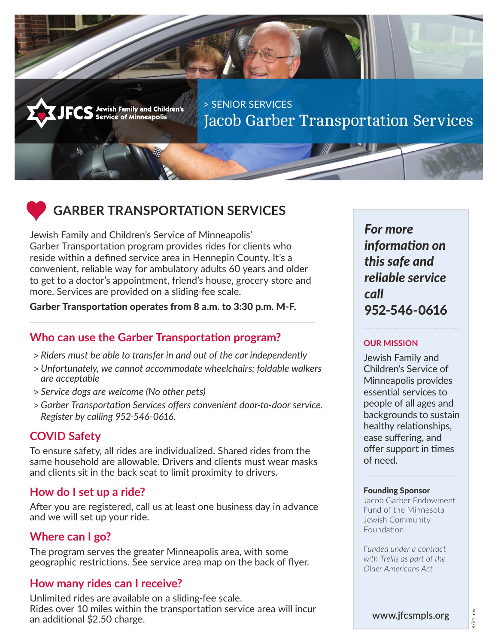˃ SENIOR SERVICES Jacob Garber Transportation Services



# **GARBER TRANSPORTATION SERVICES**

Jewish Family and Children's<br>Service of Minneapolis

Jewish Family and Children's Service of Minneapolis' Garber Transportation program provides rides for clients who reside within a defined service area in Hennepin County. It's a convenient, reliable way for ambulatory adults 60 years and older to get to a doctor's appointment, friend's house, grocery store and more. Services are provided on a sliding-fee scale.

#### Garber Transportation operates from 8 a.m. to 3:30 p.m. M-F.

# **Who can use the Garber Transportation program?**

- > *Riders must be able to transfer in and out of the car independently*
- > *Unfortunately, we cannot accommodate wheelchairs; foldable walkers are acceptable*
- > *Service dogs are welcome (No other pets)*
- > *Garber Transportation Services offers convenient door-to-door service. Register by calling 952-546-0616.*

## **COVID Safety**

To ensure safety, all rides are individualized. Shared rides from the same household are allowable. Drivers and clients must wear masks and clients sit in the back seat to limit proximity to drivers.

## **How do I set up a ride?**

After you are registered, call us at least one business day in advance and we will set up your ride.

# **Where can I go?**

The program serves the greater Minneapolis area, with some geographic restrictions. See service area map on the back of flyer.

# **How many rides can I receive?**

Unlimited rides are available on a sliding-fee scale. Rides over 10 miles within the transportation service area will incur an additional \$2.50 charge.

*For more information on this safe and reliable service call*  952-546-0616

#### **OUR MISSION**

Jewish Family and Children's Service of Minneapolis provides essential services to people of all ages and backgrounds to sustain healthy relationships, ease suffering, and offer support in times of need.

#### Founding Sponsor

Jacob Garber Endowment Fund of the Minnesota Jewish Community Foundation

*Funded under a contract with Trellis as part of the Older Americans Act*